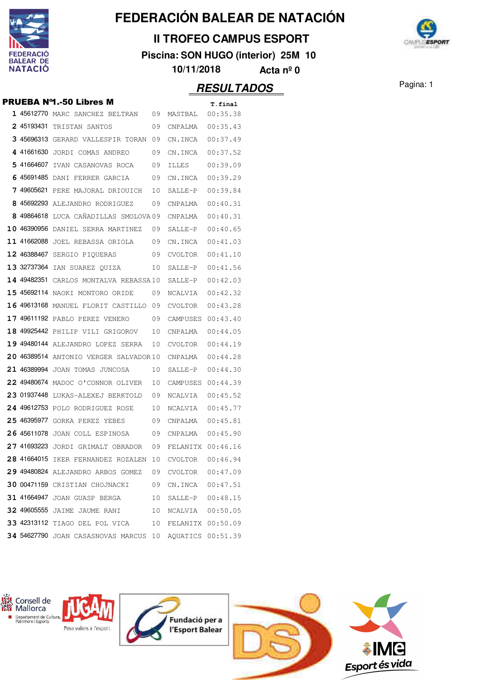

### **II TROFEO CAMPUS ESPORT**

**Piscina: SON HUGO (interior) 25M 10**



**10/11/2018 Acta nº 0**

|  |                                                        |    |                      | <u>IILUULIADUU</u> |
|--|--------------------------------------------------------|----|----------------------|--------------------|
|  | <b>PRUEBA Nº1.-50 Libres M</b>                         |    |                      | T.final            |
|  | 1 45612770 MARC SANCHEZ BELTRAN 09 MASTBAL 00:35.38    |    |                      |                    |
|  | 2 45193431 TRISTAN SANTOS 09                           |    | CNPALMA  00:35.43    |                    |
|  | 3 45696313 GERARD VALLESPIR TORAN 09                   |    | CN.INCA  00:37.49    |                    |
|  | 4 41661630 JORDI COMAS ANDREO 09                       |    | CN.INCA  00:37.52    |                    |
|  | 5 41664607 IVAN CASANOVAS ROCA 09                      |    |                      |                    |
|  | 6 45691485 DANI FERRER GARCIA 09                       |    | CN.INCA 00:39.29     |                    |
|  | 749605621 PERE MAJORAL DRIOUICH 10                     |    | SALLE-P 00:39.84     |                    |
|  | 8 45692293 ALEJANDRO RODRIGUEZ 09                      |    |                      |                    |
|  | 8 49864618 LUCA CAÑADILLAS SMOLOVA09 CNPALMA 00:40.31  |    |                      |                    |
|  | <b>10 46390956</b> DANIEL SERRA MARTINEZ 09            |    | $SALLE-P$ $00:40.65$ |                    |
|  | 11 41662088 JOEL REBASSA ORIOLA 09                     |    | CN.INCA  00:41.03    |                    |
|  | 12 46388467 SERGIO PIQUERAS 09                         |    | CVOLTOR 00:41.10     |                    |
|  | 13 32737364 IAN SUAREZ QUIZA 10                        |    | $SALLE-P$ $00:41.56$ |                    |
|  | <b>14 49482351</b> CARLOS MONTALVA REBASSA10           |    | SALLE-P 00:42.03     |                    |
|  | <b>15 45692114</b> NAOKI MONTORO ORIDE 09              |    | NCALVIA 00:42.32     |                    |
|  | 16 49613168 MANUEL FLORIT CASTILLO 09                  |    | $CVOLTOR$ $00:43.28$ |                    |
|  | 17 49611192 PABLO PEREZ VENERO 09 CAMPUSES 00:43.40    |    |                      |                    |
|  | 18 49925442 PHILIP VILI GRIGOROV 10                    |    | CNPALMA   00:44.05   |                    |
|  | <b>19 49480144</b> ALEJANDRO LOPEZ SERRA 10            |    | CVOLTOR 00:44.19     |                    |
|  | 20 46389514 ANTONIO VERGER SALVADOR10 CNPALMA 00:44.28 |    |                      |                    |
|  | 21 46389994 JOAN TOMAS JUNCOSA 10                      |    | $SALLE-P$ $00:44.30$ |                    |
|  | 22 49480674 MADOC O'CONNOR OLIVER 10                   |    | CAMPUSES 00:44.39    |                    |
|  | 23 01937448 LUKAS-ALEXEJ BERKTOLD 09 NCALVIA 00:45.52  |    |                      |                    |
|  | 24 49612753 POLO RODRIGUEZ ROSE 10                     |    | NCALVIA 00:45.77     |                    |
|  | 25 46395977 GORKA PEREZ YEBES 09                       |    | CNPALMA   00:45.81   |                    |
|  | 26 45611078 JOAN COLL ESPINOSA 09 CNPALMA 00:45.90     |    |                      |                    |
|  | 27 41693223 JORDI GRIMALT OBRADOR 09 FELANITX 00:46.16 |    |                      |                    |
|  | 28 41664015 IKER FERNANDEZ ROZALEN 10                  |    | CVOLTOR              | 00:46.94           |
|  | 29 49480824 ALEJANDRO ARBOS GOMEZ 09                   |    | CVOLTOR 00:47.09     |                    |
|  | 30 00471159 CRISTIAN CHOJNACKI                         | 09 | CN.INCA              | 00:47.51           |
|  | 31 41664947 JOAN GUASP BERGA                           | 10 | SALLE-P 00:48.15     |                    |
|  | 32 49605555 JAIME JAUME RANI                           | 10 | NCALVIA  00:50.05    |                    |
|  | 33 42313112 TIAGO DEL POL VICA                         | 10 | FELANITX 00:50.09    |                    |
|  | 34 54627790 JOAN CASASNOVAS MARCUS 10                  |    | AQUATICS 00:51.39    |                    |

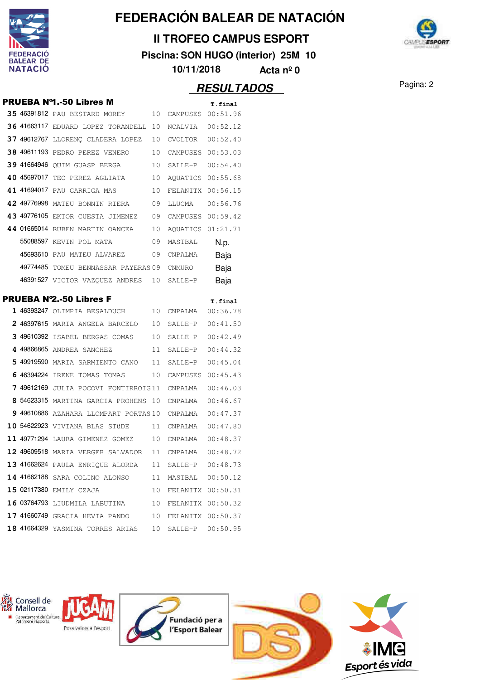

### **II TROFEO CAMPUS ESPORT**

**Piscina: SON HUGO (interior) 25M 10**



**10/11/2018 Acta nº 0**

### Pagina: 2 **RESULTADOS**

|  | <b>PRUEBA Nº1.-50 Libres M</b>                         |    |                   | T.final  |
|--|--------------------------------------------------------|----|-------------------|----------|
|  | 35 46391812 PAU BESTARD MOREY 10 CAMPUSES 00:51.96     |    |                   |          |
|  | 36 41663117 EDUARD LOPEZ TORANDELL 10 NCALVIA 00:52.12 |    |                   |          |
|  | 37 49612767 LLORENÇ CLADERA LOPEZ 10 CVOLTOR 00:52.40  |    |                   |          |
|  | 38 49611193 PEDRO PEREZ VENERO 10 CAMPUSES 00:53.03    |    |                   |          |
|  | 39 41664946 QUIM GUASP BERGA 10 SALLE-P 00:54.40       |    |                   |          |
|  | 40 45697017 TEO PEREZ AGLIATA 10                       |    | AQUATICS 00:55.68 |          |
|  | 41 41694017 PAU GARRIGA MAS 10                         |    | FELANITX 00:56.15 |          |
|  | 42 49776998 MATEU BONNIN RIERA 09 LLUCMA 00:56.76      |    |                   |          |
|  | 43 49776105 EKTOR CUESTA JIMENEZ 09 CAMPUSES 00:59.42  |    |                   |          |
|  | 44 01665014 RUBEN MARTIN OANCEA 10                     |    | AQUATICS 01:21.71 |          |
|  | 55088597 KEVIN POL MATA 09                             |    | MASTBAL           | N.p.     |
|  | 45693610 PAU MATEU ALVAREZ 09 CNPALMA                  |    |                   | Baja     |
|  | 49774485 TOMEU BENNASSAR PAYERAS 09 CNMURO             |    |                   | Baja     |
|  | 46391527 VICTOR VAZQUEZ ANDRES 10 SALLE-P              |    |                   | Baja     |
|  | <b>PRUEBA Nº2.-50 Libres F</b>                         |    |                   | T.final  |
|  | 1 46393247 OLIMPIA BESALDUCH 10 CNPALMA 00:36.78       |    |                   |          |
|  | 2 46397615 MARIA ANGELA BARCELO 10 SALLE-P 00:41.50    |    |                   |          |
|  | 3 49610392 ISABEL BERGAS COMAS 10 SALLE-P 00:42.49     |    |                   |          |
|  | 4 49866865 ANDREA SANCHEZ 11 SALLE-P                   |    |                   | 00:44.32 |
|  | 5 49919590 MARIA SARMIENTO CANO 11 SALLE-P             |    |                   | 00:45.04 |
|  | 6 46394224 IRENE TOMAS TOMAS 10 CAMPUSES 00:45.43      |    |                   |          |
|  | 7 49612169 JULIA POCOVI FONTIRROIG11 CNPALMA           |    |                   | 00:46.03 |
|  | 8 54623315 MARTINA GARCIA PROHENS 10 CNPALMA           |    |                   | 00:46.67 |
|  | 9 49610886 AZAHARA LLOMPART PORTAS10 CNPALMA           |    |                   | 00:47.37 |
|  | 10 54622923 VIVIANA BLAS STÜDE 11 CNPALMA 00:47.80     |    |                   |          |
|  | 11 49771294 LAURA GIMENEZ GOMEZ 10 CNPALMA 00:48.37    |    |                   |          |
|  | 12 49609518 MARIA VERGER SALVADOR                      | 11 | CNPALMA           | 00:48.72 |
|  | 13 41662624 PAULA ENRIQUE ALORDA                       | 11 | SALLE-P 00:48.73  |          |
|  | <b>14 41662188</b> SARA COLINO ALONSO                  | 11 | MASTBAL 00:50.12  |          |
|  | 15 02117380 EMILY CZAJA                                | 10 | FELANITX 00:50.31 |          |
|  | 16 03764793 LIUDMILA LABUTINA 10                       |    | FELANITX 00:50.32 |          |
|  | 17 41660749 GRACIA HEVIA PANDO 10 FELANITX 00:50.37    |    |                   |          |
|  | <b>18 41664329</b> YASMINA TORRES ARIAS                | 10 | SALLE-P 00:50.95  |          |
|  |                                                        |    |                   |          |

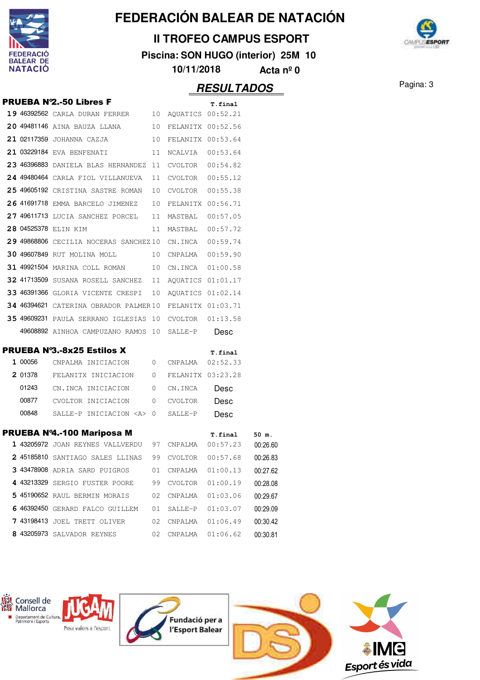

### **II TROFEO CAMPUS ESPORT**

**Piscina: SON HUGO (interior) 25M 10**

**10/11/2018 Acta nº 0**

## **RESULTADOS** Pagina: 3

**CANPLESPORT** 

|       | <b>PRUEBA N°2.-50 Libres F</b>                                |                     | T.final           |          |
|-------|---------------------------------------------------------------|---------------------|-------------------|----------|
|       | 19 46392562 CARLA DURAN FERRER 10 AQUATICS 00:52.21           |                     |                   |          |
|       | 20 49481146 AINA BAUZA LLANA 10 FELANITX 00:52.56             |                     |                   |          |
|       | 21 02117359 JOHANNA CAZJA 10 FELANITX 00:53.64                |                     |                   |          |
|       | 21 03229184 EVA BENFENATI 11 NCALVIA 00:53.64                 |                     |                   |          |
|       | 23 46396883 DANIELA BLAS HERNANDEZ 11 CVOLTOR 00:54.82        |                     |                   |          |
|       | 24 49480464 CARLA FIOL VILLANUEVA 11 CVOLTOR 00:55.12         |                     |                   |          |
|       | 25 49605192 CRISTINA SASTRE ROMAN 10 CVOLTOR 00:55.38         |                     |                   |          |
|       | 26 41691718 EMMA BARCELO JIMENEZ 10 FELANITX 00:56.71         |                     |                   |          |
|       | 27 49611713 LUCIA SANCHEZ PORCEL 11 MASTBAL 00:57.05          |                     |                   |          |
|       | 28 04525378 ELIN KIM                                          | 11 MASTBAL 00:57.72 |                   |          |
|       | 29 49868806 CECILIA NOCERAS SANCHEZ10 CN.INCA 00:59.74        |                     |                   |          |
|       | 30 49607849 RUT MOLINA MOLL 10 CNPALMA 00:59.90               |                     |                   |          |
|       | 31 49921504 MARINA COLL ROMAN 10 CN.INCA 01:00.58             |                     |                   |          |
|       | 32 41713509 SUSANA ROSELL SANCHEZ 11 AQUATICS 01:01.17        |                     |                   |          |
|       | 33 46391366 GLORIA VICENTE CRESPI 10 AQUATICS 01:02.14        |                     |                   |          |
|       | 34 46394621 CATERINA OBRADOR PALMER10 FELANITX 01:03.71       |                     |                   |          |
|       | 35 49609231 PAULA SERRANO IGLESIAS 10 CVOLTOR 01:13.58        |                     |                   |          |
|       | 49608892 AINHOA CAMPUZANO RAMOS 10 SALLE-P                    |                     | Desc              |          |
|       | <b>PRUEBA Nº3.-8x25 Estilos X</b>                             |                     | T.final           |          |
|       | 1 00056 CNPALMA INICIACION 0 CNPALMA 02:52.33                 |                     |                   |          |
|       | 2 01378 FELANITX INICIACION 0 FELANITX 03:23.28               |                     |                   |          |
|       | 01243 CN.INCA INICIACION 0 CN.INCA                            |                     | Desc              |          |
|       | 00877 CVOLTOR INICIACION 0 CVOLTOR                            |                     | Desc              |          |
| 00848 | SALLE-P INICIACION <a> 0 SALLE-P</a>                          |                     | Desc              |          |
|       | PRUEBA Nº4.-100 Mariposa M                                    |                     |                   |          |
|       | 1 43205972 JOAN REYNES VALLVERDU 97 CNPALMA 00:57.23 00:26.60 |                     | T.final 50 m.     |          |
|       | 2 45185810 SANTIAGO SALES LLINAS 99 CVOLTOR 00:57.68 00:26.83 |                     |                   |          |
|       | 3 43478908 ADRIA SARD PUIGROS 01                              |                     | CNPALMA  01:00.13 | 00:27.62 |
|       | 4 43213329 SERGIO FUSTER POORE 99 CVOLTOR 01:00.19            |                     |                   | 00:28.08 |
|       | 5 45190652 RAUL BERMIN MORAIS 02 CNPALMA 01:03.06             |                     |                   | 00:29.67 |
|       | 6 46392450 GERARD FALCO GUILLEM 01 SALLE-P 01:03.07           |                     |                   | 00:29.09 |
|       | <b>7 43198413</b> JOEL TRETT OLIVER 02 CNPALMA 01:06.49       |                     |                   | 00:30.42 |
|       | 8 43205973 SALVADOR REYNES                                    |                     |                   | 00:30.81 |
|       |                                                               |                     |                   |          |

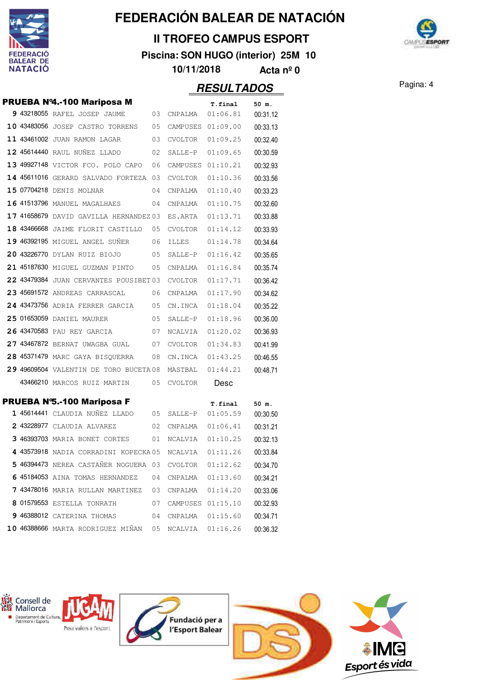

Mallorca

## **FEDERACIÓN BALEAR DE NATACIÓN**

### **II TROFEO CAMPUS ESPORT**

**Piscina: SON HUGO (interior) 25M 10**



**10/11/2018 Acta nº 0**

### Pagina: 4 **RESULTADOS**

PRUEBA Nº4.-100 Mariposa M **T.final 50 m. 9** 43218055 RAFEL JOSEP JAUME 03 CNPALMA 01:06.81 00:31.12 **10** 43483056 JOSEP CASTRO TORRENS 05 CAMPUSES 01:09.00 00:33.13 11 43461002 JUAN RAMON LAGAR 03 CVOLTOR 01:09.25 00:32.40 **12 45614440** RAUL NUÑEZ LLADO 02 SALLE-P 01:09.65 00:30.59 **13** 49927148 VICTOR FCO. POLO CAPO 06 CAMPUSES 01:10.21 00:32.93 14 45611016 GERARD SALVADO FORTEZA 03 CVOLTOR 01:10.36 00:33.56 **15** 07704218 DENIS MOLNAR 04 CNPALMA 01:10.40 00:33.23 16 41513796 MANUEL MAGALHAES 04 CNPALMA 01:10.75 00:32.60 17 41658679 DAVID GAVILLA HERNANDEZ 03 ES.ARTA 01:13.71 00:33.88 **18** 43466668 JAIME FLORIT CASTILLO 05 CVOLTOR 01:14.12 00:33.93 **19** 46392195 MIGUEL ANGEL SUÑER 06 ILLES 01:14.78 00:34.64 **20** 43226770 DYLAN RUIZ BIOJO 05 SALLE-P 01:16.42 00:35.65 **21** 45187630 MIGUEL GUZMAN PINTO 05 CNPALMA 01:16.84 00:35.74 **22 43479384** JUAN CERVANTES POUSIBET 03 CVOLTOR 01:17.71 00:36.42 **23 45691572 ANDREAS CARRASCAL 06 CNPALMA 01:17.90 00:34.62 24** <sup>43473756</sup> ADRIA FERRER GARCIA 01:18.04 05 CN.INCA 00:35.22 **25** 01653059 DANIEL MAURER 05 SALLE-P 01:18.96 00:36.00  **26** <sup>43470583</sup> PAU REY GARCIA 01:20.02 07 NCALVIA 00:36.93 **27 43467872 BERNAT UWAGBA GUAL 07 CVOLTOR 01:34.83 00:41.99** 28 45371479 MARC GAYA BISQUERRA 08 CN.INCA 01:43.25 00:46.55 **29 49609504** VALENTIN DE TORO BUCETA 08 MASTBAL 01:44.21 00:48.71 43466210 MARCOS RUIZ MARTIN 05 CVOLTOR Desc PRUEBA N°5.-100 Mariposa F T.final 50 m.  **1** <sup>45614441</sup> CLAUDIA NUÑEZ LLADO 01:05.59 05 SALLE-P 00:30.50 **2** 43228977 CLAUDIA ALVAREZ 02 CNPALMA  $01:06.41$  00:31.21 **3 46393703** MARIA BONET CORTES 01 NCALVIA 01:10.25 00:32.13 4 43573918 NADIA CORRADINI KOPECKA 05 NCALVIA 01:11.26 00:33.84

 46394473 NEREA CASTAÑER NOGUERA 03 CVOLTOR 01:12.62 00:34.70 6 45184053 AINA TOMAS HERNANDEZ 04 CNPALMA 01:13.60 00:34.21 43478016 MARIA RULLAN MARTINEZ 03 CNPALMA 01:14.20 00:33.06 01579553 ESTELLA TONRATH 07 CAMPUSES 01:15.10 00:32.93 46388012 CATERINA THOMAS 04 CNPALMA 01:15.60 00:34.71 46388666 MARTA RODRIGUEZ MIÑAN 05 NCALVIA 01:16.26 00:36.32

Consell de Departament de Cultura,<br>Patrimoni i Esports Fundació per a Posa valors a l'esport l'Esport Balear Esport és vida

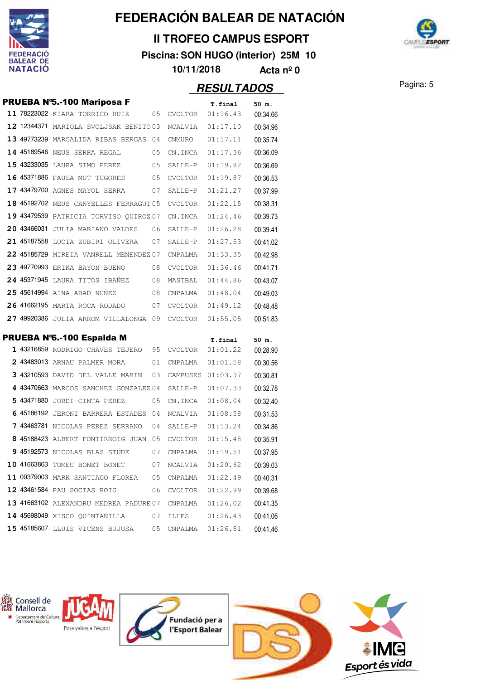

### **II TROFEO CAMPUS ESPORT**

**Piscina: SON HUGO (interior) 25M 10**



**10/11/2018 Acta nº 0**

|  | <b>PRUEBA Nº5.-100 Mariposa F</b>                             |    |                   | <b>T.final</b>       | 50 m.             |
|--|---------------------------------------------------------------|----|-------------------|----------------------|-------------------|
|  | 11 78223022 KIARA TORRICO RUIZ                                | 05 | CVOLTOR           | 01:16.43             | 00:34.66          |
|  | 12 12344371 MARIOLA SVOLJSAK BENITO 03                        |    | NCALVIA           | 01:17.10             | 00:34.96          |
|  | 13 49773239 MARGALIDA RIBAS BERGAS 04                         |    | CNMURO            | 01:17.11             | 00:35.74          |
|  | 14 45189546 NEUS SERRA REGAL                                  | 05 | CN.INCA           | 01:17.36             | 00:36.09          |
|  | 15 43233035 LAURA SIMO PEREZ                                  | 05 | SALLE-P           | 01:19.82             | 00:36.69          |
|  | 16 45371886 PAULA MUT TUGORES                                 | 05 | CVOLTOR           | 01:19.87             | 00:36.53          |
|  | 17 43479700 AGNES MAYOL SERRA                                 | 07 | SALLE-P           | 01:21.27             | 00:37.99          |
|  | 18 45192702 NEUS CANYELLES FERRAGUT 05                        |    | CVOLTOR           | 01:22.15             | 00:38.31          |
|  | 19 43479539 PATRICIA TORVISO QUIROZ 07                        |    | CN.INCA           | 01:24.46             | 00:39.73          |
|  | 20 43466031 JULIA MARIANO VALDES                              | 06 | SALLE-P           | 01:26.28             | 00:39.41          |
|  | 21 45187558 LUCIA ZUBIRI OLIVERA                              | 07 | SALLE-P           | 01:27.53             | 00:41.02          |
|  | 22 45185729 MIREIA VANRELL MENENDEZ 07                        |    | CNPALMA           | 01:33.35             | 00:42.98          |
|  | 23 49770993 ERIKA BAYON BUENO                                 | 08 | CVOLTOR           | 01:36.46             | 00:41.71          |
|  | 24 45371945 LAURA TITOS IBAÑEZ                                | 08 | MASTBAL           | 01:44.86             | 00:43.07          |
|  | 25 45614994 AINA ABAD NUÑEZ                                   | 08 | CNPALMA           | 01:48.04             | 00:49.03          |
|  | <b>26 41662195</b> MARTA ROCA RODADO                          | 07 | CVOLTOR           | 01:49.12             | 00:48.48          |
|  | 27 49920386 JULIA ARROM VILLALONGA 09                         |    | CVOLTOR           | 01:55.05             | 00:51.83          |
|  |                                                               |    |                   |                      |                   |
|  | PRUEBA Nº6.-100 Espalda M<br>1 43216859 RODRIGO CHAVES TEJERO | 95 | CVOLTOR           | T.final<br>01:01.22  | 50 m.<br>00:28.90 |
|  | 2 43483013 ARNAU PALMER MORA                                  | 01 | CNPALMA           | 01:01.58             | 00:30.56          |
|  | 3 43210593 DAVID DEL VALLE MARIN                              | 03 | CAMPUSES 01:03.97 |                      | 00:30.81          |
|  | 4 43470663 MARCOS SANCHEZ GONZALEZ 04                         |    | SALLE-P           | 01:07.33             | 00:32.78          |
|  | 5 43471880 JORDI CINTA PEREZ                                  | 05 | CN.INCA           | 01:08.04             | 00:32.40          |
|  | 6 45186192 JERONI BARRERA ESTADES                             | 04 | NCALVIA           | 01:08.58             | 00:31.53          |
|  | 7 43463781 NICOLAS PEREZ SERRANO                              | 04 | SALLE-P           | 01:13.24             | 00:34.86          |
|  | 8 45188423 ALBERT FONTIRROIG JUAN                             | 05 | CVOLTOR           | 01:15.48             | 00:35.91          |
|  | 9 45192573 NICOLAS BLAS STÜDE                                 | 07 |                   | 01:19.51             | 00:37.95          |
|  | 10 41663863 TOMEU BONET BONET 07                              |    | CNPALMA           |                      |                   |
|  |                                                               |    |                   | NCALVIA  01:20.62    | 00:39.03          |
|  | 11 09379003 MARK SANTIAGO FLOREA 05                           |    |                   | $CNPALMA$ $01:22.49$ | 00:40.31          |
|  | 12 43461584 PAU SOCIAS ROIG                                   | 06 |                   | CVOLTOR 01:22.99     | 00:39.68          |
|  | 13 41663102 ALEXANDRU MEDREA PADURE 07                        |    |                   | $CNPALMA$ $01:26.02$ | 00:41.35          |
|  | 14 45698049 XISCO QUINTANILLA                                 | 07 |                   |                      | 00:41.06          |
|  | 15 45185607 LLUIS VICENS BUJOSA                               | 05 |                   |                      | 00:41.46          |

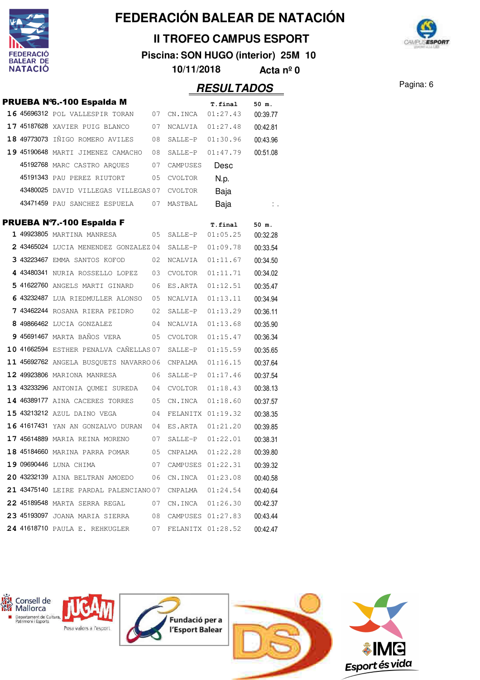

### **II TROFEO CAMPUS ESPORT**

**Piscina: SON HUGO (interior) 25M 10**



**10/11/2018 Acta nº 0**

|  | PRUEBA Nº6.-100 Espalda M              |     |                   | T.final              | 50 m.             |
|--|----------------------------------------|-----|-------------------|----------------------|-------------------|
|  | 16 45696312 POL VALLESPIR TORAN        | 07  | CN.INCA           | 01:27.43             | 00:39.77          |
|  | 17 45187628 XAVIER PUIG BLANCO         | 07  | NCALVIA           | 01:27.48             | 00:42.81          |
|  | 18 49773073 IÑIGO ROMERO AVILES        | 08  | $SATJ.F-P$        | 01:30.96             | 00:43.96          |
|  | 19 45190648 MARTI JIMENEZ CAMACHO      | 08  | SALLE-P           | 01:47.79             | 00:51.08          |
|  | 45192768 MARC CASTRO ARQUES            | 07  | CAMPUSES          | Desc                 |                   |
|  | 45191343 PAU PEREZ RIUTORT             | 05  | CVOLTOR           | N.p.                 |                   |
|  | 43480025 DAVID VILLEGAS VILLEGAS 07    |     | <b>CVOLTOR</b>    | Baja                 |                   |
|  | 43471459 PAU SANCHEZ ESPUELA           | 07  | MASTBAL           | Baja                 | ÷.,               |
|  | PRUEBA Nº7.-100 Espalda F              |     |                   |                      |                   |
|  | 1 49923805 MARTINA MANRESA             | 05  | SALLE-P           | T.final<br>01:05.25  | 50 m.<br>00:32.28 |
|  | 2 43465024 LUCIA MENENDEZ GONZALEZ 04  |     | SALLE-P           | 01:09.78             | 00:33.54          |
|  | 3 43223467 EMMA SANTOS KOFOD           | 02  | NCALVIA           | 01:11.67             | 00:34.50          |
|  | 4 43480341 NURIA ROSSELLO LOPEZ        | 03  | CVOLTOR           | 01:11.71             | 00:34.02          |
|  | 5 41622760 ANGELS MARTI GINARD         | 06  | ES.ARTA           | 01:12.51             | 00:35.47          |
|  | 6 43232487 LUA RIEDMULLER ALONSO       | 05  | NCALVIA           | 01:13.11             | 00:34.94          |
|  | 7 43462244 ROSANA RIERA PEIDRO         | 02  | SALLE-P           | 01:13.29             | 00:36.11          |
|  | 8 49866462 LUCIA GONZALEZ              | 04  | NCALVIA           | 01:13.68             | 00:35.90          |
|  | 9 45691467 MARTA BAÑOS VERA            | 05  | CVOLTOR           | 01:15.47             | 00:36.34          |
|  | 10 41662594 ESTHER PENALVA CAÑELLAS 07 |     | SALLE-P           | 01:15.59             | 00:35.65          |
|  | 11 45692762 ANGELA BUSQUETS NAVARRO 06 |     | CNPALMA           | 01:16.15             | 00:37.64          |
|  | 12 49923806 MARIONA MANRESA            | 06  | SALLE-P           | 01:17.46             | 00:37.54          |
|  | 13 43233296 ANTONIA QUMEI SUREDA       | 04  | CVOLTOR           | 01:18.43             | 00:38.13          |
|  | 14 46389177 AINA CACERES TORRES        | 05  | CN.INCA           | 01:18.60             | 00:37.57          |
|  | 15 43213212 AZUL DAINO VEGA            | 04  | FELANITX 01:19.32 |                      | 00:38.35          |
|  | 16 41617431 YAN AN GONZALVO DURAN      | 04  | ES.ARTA           | 01:21.20             | 00:39.85          |
|  | 17 45614889 MARIA REINA MORENO         | 07  | SALLE-P           | 01:22.01             | 00:38.31          |
|  | 18 45184660 MARINA PARRA POMAR         | 0.5 | CNPALMA           | 01:22.28             | 00:39.80          |
|  | 19 09690446 LUNA CHIMA                 | 07  |                   | CAMPUSES 01:22.31    | 00:39.32          |
|  | 20 43232139 AINA BELTRAN AMOEDO        | 06  |                   | CN.INCA  01:23.08    | 00:40.58          |
|  | 21 43475140 LEIRE PARDAL PALENCIANO 07 |     |                   | $CNPALMA$ $01:24.54$ | 00:40.64          |
|  | <b>22 45189548</b> MARTA SERRA REGAL   | 07  |                   | CN.INCA  01:26.30    | 00:42.37          |
|  | 23 45193097 JOANA MARIA SIERRA         | 08  |                   | CAMPUSES 01:27.83    | 00:43.44          |
|  | 24 41618710 PAULA E. REHKUGLER         | 07  |                   | FELANITX 01:28.52    | 00:42.47          |

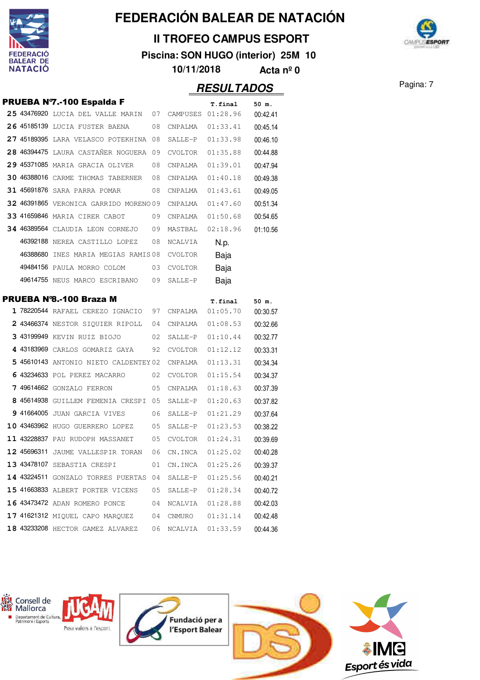

### **II TROFEO CAMPUS ESPORT**

**Piscina: SON HUGO (interior) 25M 10**



**10/11/2018 Acta nº 0**

|  | <b>PRUEBA Nº7.-100 Espalda F</b>                                  |      |         | T.final              | 50 m.                |
|--|-------------------------------------------------------------------|------|---------|----------------------|----------------------|
|  | 25 43476920 LUCIA DEL VALLE MARIN 07                              |      |         | CAMPUSES 01:28.96    | 00:42.41             |
|  | 26 45185139 LUCIA FUSTER BAENA                                    | 08   | CNPALMA | 01:33.41             | 00:45.14             |
|  | 27 45189395 LARA VELASCO POTEKHINA 08                             |      | SALLE-P | 01:33.98             | 00:46.10             |
|  | 28 46394475 LAURA CASTAÑER NOGUERA 09                             |      | CVOLTOR | 01:35.88             | 00:44.88             |
|  | 29 45371085 MARIA GRACIA OLIVER                                   | 08   | CNPALMA | 01:39.01             | 00:47.94             |
|  | 30 46388016 CARME THOMAS TABERNER                                 | 08   | CNPALMA | 01:40.18             | 00:49.38             |
|  | 31 45691876 SARA PARRA POMAR                                      | 08   | CNPALMA | 01:43.61             | 00:49.05             |
|  | 32 46391865 VERONICA GARRIDO MORENO 09                            |      | CNPALMA | 01:47.60             | 00:51.34             |
|  | 33 41659846 MARIA CIRER CABOT                                     | 09   | CNPALMA | 01:50.68             | 00:54.65             |
|  | <b>34 46389564</b> CLAUDIA LEON CORNEJO 09                        |      | MASTBAL | 02:18.96             | 01:10.56             |
|  | 46392188 NEREA CASTILLO LOPEZ                                     | 08   | NCALVIA | N.p.                 |                      |
|  | 46388680 INES MARIA MEGIAS RAMIS08                                |      | CVOLTOR | Baja                 |                      |
|  | 49484156 PAULA MORRO COLOM                                        | 03   | CVOLTOR | Baja                 |                      |
|  | 49614755 NEUS MARCO ESCRIBANO                                     | 09   | SALLE-P | Baja                 |                      |
|  | <b>PRUEBA Nº8.-100 Braza M</b>                                    |      |         |                      |                      |
|  | 1 78220544 RAFAEL CEREZO IGNACIO 97                               |      | CNPALMA | T.final<br>01:05.70  | 50 m.<br>00:30.57    |
|  | 2 43466374 NESTOR SIQUIER RIPOLL                                  | - 04 | CNPALMA | 01:08.53             | 00:32.66             |
|  | 3 43199949 KEVIN RUIZ BIOJO                                       | 02   | SALLE-P | 01:10.44             | 00:32.77             |
|  | 4 43183969 CARLOS GOMARIZ GAYA                                    | 92   | CVOLTOR | 01:12.12             | 00:33.31             |
|  | 5 45610143 ANTONIO NIETO CALDENTEY 02                             |      | CNPALMA | 01:13.31             | 00:34.34             |
|  | 6 43234633 pol perez macarro                                      | 02   | CVOLTOR | 01:15.54             | 00:34.37             |
|  | 7 49614662 GONZALO FERRON                                         | 05   | CNPALMA | 01:18.63             | 00:37.39             |
|  | 8 45614938 GUILLEM FEMENIA CRESPI 05                              |      | SALLE-P | 01:20.63             | 00:37.82             |
|  | 9 41664005 JUAN GARCIA VIVES                                      | 06   | SALLE-P | 01:21.29             | 00:37.64             |
|  | 10 43463962 HUGO GUERRERO LOPEZ                                   | 05   | SALLE-P | 01:23.53             | 00:38.22             |
|  | 11 43228837 PAU RUDOPH MASSANET                                   | 05   | CVOLTOR | 01:24.31             | 00:39.69             |
|  | 12 45696311 JAUME VALLESPIR TORAN                                 | 06   | CN.INCA | 01:25.02             | 00:40.28             |
|  | 13 43478107 SEBASTIA CRESPI                                       |      |         |                      |                      |
|  | <b>14 43224511</b> GONZALO TORRES PUERTAS 04                      | 01   |         | $CN.INCA$ $01:25.26$ | 00:39.37<br>00:40.21 |
|  |                                                                   |      | SALLE-P | 01:25.56             |                      |
|  | 15 41663833 ALBERT PORTER VICENS<br>16 43473472 ADAN ROMERO PONCE | 05   |         | SALLE-P 01:28.34     | 00:40.72             |
|  |                                                                   | 04   | NCALVIA | 01:28.88             | 00:42.03             |
|  | 17 41621312 MIQUEL CAPO MARQUEZ 04                                |      | CNMURO  | 01:31.14             | 00:42.48             |
|  | 18 43233208 HECTOR GAMEZ ALVAREZ                                  | 06   |         |                      | 00:44.36             |

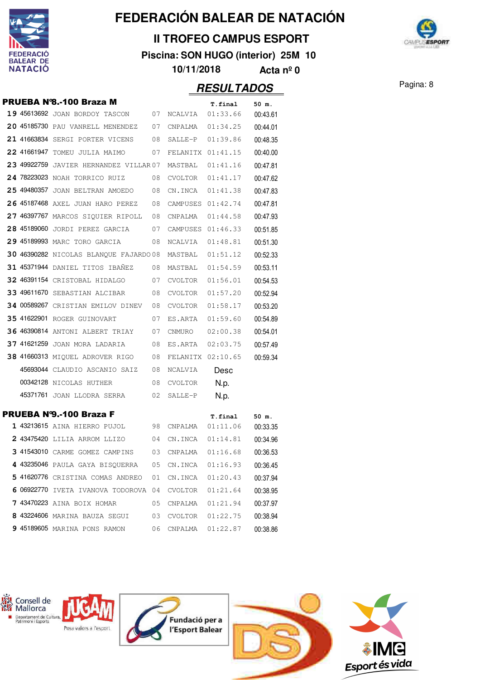

### **II TROFEO CAMPUS ESPORT**

**Piscina: SON HUGO (interior) 25M 10**



**10/11/2018 Acta nº 0**

|  | PRUEBA Nº8.-100 Braza M                  |    |                   | T.final             | 50 m.             |
|--|------------------------------------------|----|-------------------|---------------------|-------------------|
|  | <b>19 45613692</b> JOAN BORDOY TASCON 07 |    | NCALVIA           | 01:33.66            | 00:43.61          |
|  | 20 45185730 PAU VANRELL MENENDEZ         | 07 | CNPALMA           | 01:34.25            | 00:44.01          |
|  | 21 41663834 SERGI PORTER VICENS          | 08 | SALLE-P           | 01:39.86            | 00:48.35          |
|  | 22 41661947 TOMEU JULIA MAIMO            | 07 | FELANITX 01:41.15 |                     | 00:40.00          |
|  | 23 49922759 JAVIER HERNANDEZ VILLAR 07   |    | MASTBAL           | 01:41.16            | 00:47.81          |
|  | 24 78223023 NOAH TORRICO RUIZ            | 08 | CVOLTOR           | 01:41.17            | 00:47.62          |
|  | 25 49480357 JOAN BELTRAN AMOEDO          | 08 | CN.INCA           | 01:41.38            | 00:47.83          |
|  | 26 45187468 AXEL JUAN HARO PEREZ         | 08 | CAMPUSES          | 01:42.74            | 00:47.81          |
|  | 27 46397767 MARCOS SIQUIER RIPOLL        | 08 | CNPALMA           | 01:44.58            | 00:47.93          |
|  | 28 45189060 JORDI PEREZ GARCIA           | 07 | CAMPUSES 01:46.33 |                     | 00:51.85          |
|  | 29 45189993 MARC TORO GARCIA             | 08 | NCALVIA           | 01:48.81            | 00:51.30          |
|  | 30 46390282 NICOLAS BLANQUE FAJARDO 08   |    | MASTBAL           | 01:51.12            | 00:52.33          |
|  | <b>31 45371944</b> DANIEL TITOS IBANEZ   | 08 | MASTBAL           | 01:54.59            | 00:53.11          |
|  | 32 46391154 CRISTOBAL HIDALGO            | 07 | CVOLTOR           | 01:56.01            | 00:54.53          |
|  | 33 49611670 SEBASTIAN ALCIBAR            | 08 | CVOLTOR           | 01:57.20            | 00:52.94          |
|  | 34 00589267 CRISTIAN EMILOV DINEV        | 08 | CVOLTOR           | 01:58.17            | 00:53.20          |
|  | <b>35 41622901 ROGER GUINOVART</b>       | 07 | ES.ARTA           | 01:59.60            | 00:54.89          |
|  | 36 46390814 ANTONI ALBERT TRIAY          | 07 | CNMURO            | 02:00.38            | 00:54.01          |
|  | 37 41621259 JOAN MORA LADARIA            | 08 | ES.ARTA           | 02:03.75            | 00:57.49          |
|  | 38 41660313 MIQUEL ADROVER RIGO          | 08 | FELANITX 02:10.65 |                     | 00:59.34          |
|  | 45693044 CLAUDIO ASCANIO SAIZ            | 08 | NCALVIA           | Desc                |                   |
|  | 00342128 NICOLAS HUTHER                  | 08 | CVOLTOR           | N.p.                |                   |
|  | 45371761 JOAN LLODRA SERRA               | 02 | SALLE-P           | N.p.                |                   |
|  | PRUEBA Nº9.-100 Braza F                  |    |                   |                     |                   |
|  | <b>1 43213615</b> AINA HIERRO PUJOL      | 98 | CNPALMA           | T.final<br>01:11.06 | 50 m.<br>00:33.35 |
|  | 2 43475420 LILIA ARROM LLIZO             | 04 | CN.INCA           | 01:14.81            | 00:34.96          |
|  | 3 41543010 CARME GOMEZ CAMPINS           | 03 | CNPALMA           | 01:16.68            | 00:36.53          |
|  | 4 43235046 PAULA GAYA BISOUERRA          | 05 | CN.INCA           | 01:16.93            | 00:36.45          |
|  | 5 41620776 CRISTINA COMAS ANDREO         | 01 | CN.INCA           | 01:20.43            | 00:37.94          |
|  | 6 06922770 IVETA IVANOVA TODOROVA 04     |    | CVOLTOR           | 01:21.64            | 00:38.95          |
|  | <b>7 43470223</b> AINA BOIX HOMAR        | 05 | CNPALMA           | 01:21.94            | 00:37.97          |
|  | 8 43224606 MARINA BAUZA SEGUI            | 03 | CVOLTOR           | 01:22.75            | 00:38.94          |
|  | 9 45189605 MARINA PONS RAMON             | 06 | CNPALMA           | 01:22.87            | 00:38.86          |
|  |                                          |    |                   |                     |                   |

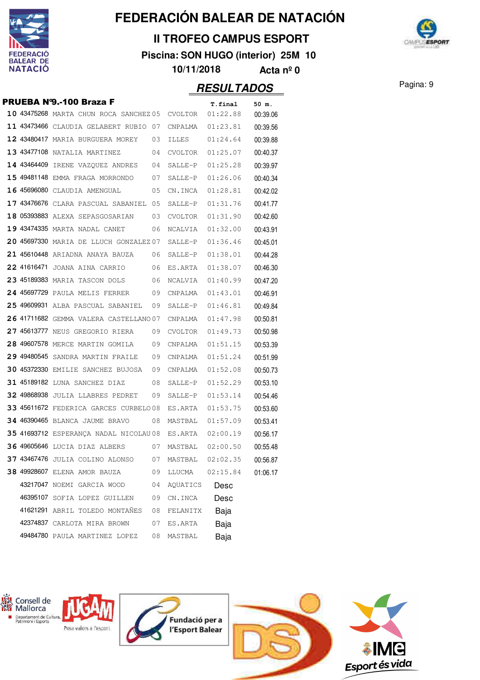

### **II TROFEO CAMPUS ESPORT**

**Piscina: SON HUGO (interior) 25M 10**



**10/11/2018 Acta nº 0**

|  | PRUEBA Nº9.-100 Braza F                |    |                  | T.final          | 50 m.    |
|--|----------------------------------------|----|------------------|------------------|----------|
|  | 10 43475268 MARTA CHUN ROCA SANCHEZ 05 |    | CVOLTOR          | 01:22.88         | 00:39.06 |
|  | 11 43473466 CLAUDIA GELABERT RUBIO 07  |    | CNPALMA          | 01:23.81         | 00:39.56 |
|  | 12 43480417 MARIA BURGUERA MOREY       | 03 | ILLES            | 01:24.64         | 00:39.88 |
|  | 13 43477108 NATALIA MARTINEZ           | 04 | CVOLTOR          | 01:25.07         | 00:40.37 |
|  | 14 43464409 IRENE VAZQUEZ ANDRES       | 04 | SALLE-P          | 01:25.28         | 00:39.97 |
|  | 15 49481148 EMMA FRAGA MORRONDO        | 07 | SALLE-P          | 01:26.06         | 00:40.34 |
|  | 16 45696080 CLAUDIA AMENGUAL           | 05 | CN.INCA          | 01:28.81         | 00:42.02 |
|  | 17 43476676 CLARA PASCUAL SABANIEL 05  |    | SALLE-P          | 01:31.76         | 00:41.77 |
|  | 18 05393883 ALEXA SEPASGOSARIAN        | 03 | CVOLTOR          | 01:31.90         | 00:42.60 |
|  | 19 43474335 MARTA NADAL CANET          | 06 | NCALVIA          | 01:32.00         | 00:43.91 |
|  | 20 45697330 MARIA DE LLUCH GONZALEZ 07 |    |                  | SALLE-P 01:36.46 | 00:45.01 |
|  | 21 45610448 ARIADNA ANAYA BAUZA        | 06 | SALLE-P          | 01:38.01         | 00:44.28 |
|  | 22 41616471 JOANA AINA CARRIO          | 06 | ES.ARTA          | 01:38.07         | 00:46.30 |
|  | 23 45189383 MARIA TASCON DOLS          | 06 | NCALVIA          | 01:40.99         | 00:47.20 |
|  | 24 45697729 PAULA MELIS FERRER         | 09 | CNPALMA          | 01:43.01         | 00:46.91 |
|  | 25 49609931 ALBA PASCUAL SABANIEL      | 09 | SALLE-P          | 01:46.81         | 00:49.84 |
|  | 26 41711682 GEMMA VALERA CASTELLANO 07 |    | CNPALMA          | 01:47.98         | 00:50.81 |
|  | 27 45613777 NEUS GREGORIO RIERA        | 09 | CVOLTOR          | 01:49.73         | 00:50.98 |
|  | 28 49607578 MERCE MARTIN GOMILA        | 09 | CNPALMA          | 01:51.15         | 00:53.39 |
|  | 29 49480545 SANDRA MARTIN FRAILE       | 09 | CNPALMA          | 01:51.24         | 00:51.99 |
|  | 30 45372330 EMILIE SANCHEZ BUJOSA      | 09 | CNPALMA          | 01:52.08         | 00:50.73 |
|  | <b>31 45189182</b> LUNA SANCHEZ DIAZ   | 08 | SALLE-P 01:52.29 |                  | 00:53.10 |
|  | 32 49868938 JULIA LLABRES PEDRET       | 09 | SALLE-P          | 01:53.14         | 00:54.46 |
|  | 33 45611672 FEDERICA GARCES CURBELO08  |    | ES.ARTA          | 01:53.75         | 00:53.60 |
|  | <b>34 46390465</b> BLANCA JAUME BRAVO  | 08 | MASTBAL 01:57.09 |                  | 00:53.41 |
|  | 35 41693712 ESPERANCA NADAL NICOLAU 08 |    | ES.ARTA          | 02:00.19         | 00:56.17 |
|  | 36 49605646 LUCIA DIAZ ALBERS          | 07 | MASTBAL 02:00.50 |                  | 00:55.48 |
|  | 37 43467476 JULIA COLINO ALONSO        | 07 | MASTBAL          | 02:02.35         | 00:56.87 |
|  | 38 49928607 ELENA AMOR BAUZA           | 09 | LLUCMA           | 02:15.84         | 01:06.17 |
|  | 43217047 NOEMI GARCIA WOOD             | 04 | AQUATICS         | Desc             |          |
|  | 46395107 SOFIA LOPEZ GUILLEN           | 09 | CN.INCA          | Desc             |          |
|  | 41621291 ABRIL TOLEDO MONTAÑES         | 08 | FELANITX         | Baja             |          |
|  | 42374837 CARLOTA MIRA BROWN            | 07 | ES.ARTA          | Baja             |          |
|  | 49484780 PAULA MARTINEZ LOPEZ          | 08 | MASTBAL          | Baja             |          |

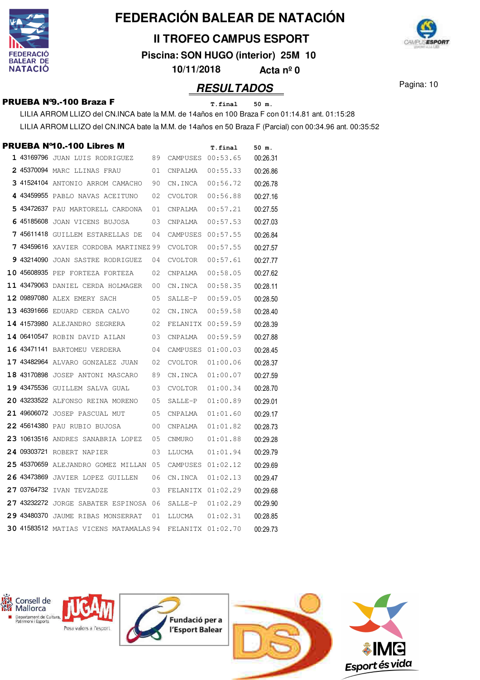

**II TROFEO CAMPUS ESPORT**

**Piscina: SON HUGO (interior) 25M 10**

**10/11/2018 Acta nº 0**

## **RESULTADOS** Pagina: 10

### **PRUEBA Nº9.-100 Braza F** T.final 50 m.

LILIA ARROM LLIZO del CN.INCA bate la M.M. de 14años en 100 Braza F con 01:14.81 ant. 01:15:28

LILIA ARROM LLIZO del CN.INCA bate la M.M. de 14años en 50 Braza F (Parcial) con 00:34.96 ant. 00:35:52

|             | PRUEBA Nº10.-100 Libres M              |    |                   | T.final  | 50 m.    |
|-------------|----------------------------------------|----|-------------------|----------|----------|
|             | 1 43169796 JUAN LUIS RODRIGUEZ         | 89 | CAMPUSES          | 00:53.65 | 00:26.31 |
|             | 2 45370094 MARC LLINAS FRAU            | 01 | CNPALMA           | 00:55.33 | 00:26.86 |
|             | 3 41524104 ANTONIO ARROM CAMACHO       | 90 | CN.INCA           | 00:56.72 | 00:26.78 |
|             | 4 43459955 PABLO NAVAS ACEITUNO        | 02 | CVOLTOR           | 00:56.88 | 00:27.16 |
|             | 5 43472637 PAU MARTORELL CARDONA       | 01 | CNPALMA           | 00:57.21 | 00:27.55 |
|             | 6 45185608 JOAN VICENS BUJOSA          | 03 | CNPALMA           | 00:57.53 | 00:27.03 |
|             | 7 45611418 GUILLEM ESTARELLAS DE       | 04 | CAMPUSES          | 00:57.55 | 00:26.84 |
|             | 7 43459616 XAVIER CORDOBA MARTINEZ 99  |    | <b>CVOLTOR</b>    | 00:57.55 | 00:27.57 |
|             | 9 43214090 JOAN SASTRE RODRIGUEZ       | 04 | CVOLTOR           | 00:57.61 | 00:27.77 |
|             | 10 45608935 PEP FORTEZA FORTEZA        | 02 | CNPALMA           | 00:58.05 | 00:27.62 |
|             | 11 43479063 DANIEL CERDA HOLMAGER      | 00 | CN.INCA           | 00:58.35 | 00:28.11 |
|             | 12 09897080 ALEX EMERY SACH            | 05 | SALLE-P           | 00:59.05 | 00:28.50 |
|             | 13 46391666 EDUARD CERDA CALVO         | 02 | CN.INCA           | 00:59.58 | 00:28.40 |
|             | 14 41573980 ALEJANDRO SEGRERA          | 02 | FELANITX 00:59.59 |          | 00:28.39 |
|             | 14 06410547 ROBIN DAVID AILAN          | 03 | CNPALMA           | 00:59.59 | 00:27.88 |
|             | 16 43471141 BARTOMEU VERDERA           | 04 | CAMPUSES          | 01:00.03 | 00:28.45 |
|             | 17 43482964 ALVARO GONZALEZ JUAN       | 02 | <b>CVOLTOR</b>    | 01:00.06 | 00:28.37 |
|             | 18 43170898 JOSEP ANTONI MASCARO       | 89 | CN.INCA           | 01:00.07 | 00:27.59 |
|             | 19 43475536 GUILLEM SALVA GUAL         | 03 | CVOLTOR           | 01:00.34 | 00:28.70 |
|             | 20 43233522 ALFONSO REINA MORENO       | 05 | SALLE-P           | 01:00.89 | 00:29.01 |
|             | 21 49606072 JOSEP PASCUAL MUT          | 05 | CNPALMA           | 01:01.60 | 00:29.17 |
|             | 22 45614380 PAU RUBIO BUJOSA           | 00 | CNPALMA           | 01:01.82 | 00:28.73 |
|             | 23 10613516 ANDRES SANABRIA LOPEZ      | 05 | CNMURO            | 01:01.88 | 00:29.28 |
|             | 24 09303721 ROBERT NAPIER              | 03 | LLUCMA            | 01:01.94 | 00:29.79 |
|             | 25 45370659 ALEJANDRO GOMEZ MILLAN     | 05 | CAMPUSES          | 01:02.12 | 00:29.69 |
|             | 26 43473869 JAVIER LOPEZ GUILLEN       | 06 | CN.INCA           | 01:02.13 | 00:29.47 |
| 27 03764732 | IVAN TEVZADZE                          | 03 | FELANITX 01:02.29 |          | 00:29.68 |
|             | 27 43232272 JORGE SABATER ESPINOSA     | 06 | SALLE-P           | 01:02.29 | 00:29.90 |
|             | 29 43480370 JAUME RIBAS MONSERRAT      | 01 | LLUCMA            | 01:02.31 | 00:28.85 |
|             | 30 41583512 MATIAS VICENS MATAMALAS 94 |    | FELANITX 01:02.70 |          | 00:29.73 |



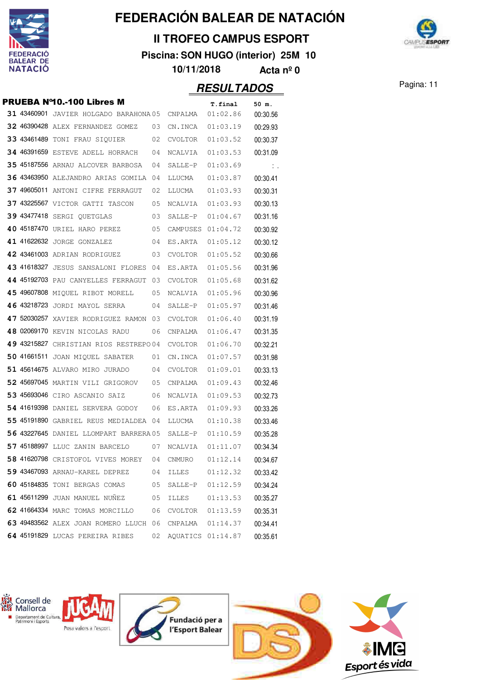

### **II TROFEO CAMPUS ESPORT**

**Piscina: SON HUGO (interior) 25M 10**



**10/11/2018 Acta nº 0**

|  | <b>PRUEBA Nº10.-100 Libres M</b>       |    |                   | T.final            | 50 m.        |
|--|----------------------------------------|----|-------------------|--------------------|--------------|
|  | 31 43460901 JAVIER HOLGADO BARAHONA 05 |    | CNPALMA           | 01:02.86           | 00:30.56     |
|  | 32 46390428 ALEX FERNANDEZ GOMEZ       | 03 | CN.INCA           | 01:03.19           | 00:29.93     |
|  | 33 43461489 TONI FRAU SIQUIER          | 02 | CVOLTOR           | 01:03.52           | 00:30.37     |
|  | 34 46391659 ESTEVE ADELL HORRACH       | 04 | NCALVIA           | 01:03.53           | 00:31.09     |
|  | 35 45187556 ARNAU ALCOVER BARBOSA      | 04 | SALLE-P           | 01:03.69           | $\mathbb{Z}$ |
|  | 36 43463950 ALEJANDRO ARIAS GOMILA     | 04 | LLUCMA            | 01:03.87           | 00:30.41     |
|  | 37 49605011 ANTONI CIFRE FERRAGUT      | 02 | LLUCMA            | 01:03.93           | 00:30.31     |
|  | 37 43225567 VICTOR GATTI TASCON        | 05 | NCALVIA           | 01:03.93           | 00:30.13     |
|  | 39 43477418 SERGI QUETGLAS             | 03 | SALLE-P           | 01:04.67           | 00:31.16     |
|  | 40 45187470 URIEL HARO PEREZ           | 05 | CAMPUSES          | 01:04.72           | 00:30.92     |
|  | 41 41622632 JORGE GONZALEZ             | 04 | ES.ARTA           | 01:05.12           | 00:30.12     |
|  | 42 43461003 ADRIAN RODRIGUEZ           | 03 | CVOLTOR           | 01:05.52           | 00:30.66     |
|  | 43 41618327 JESUS SANSALONI FLORES     | 04 | ES.ARTA           | 01:05.56           | 00:31.96     |
|  | 44 45192703 PAU CANYELLES FERRAGUT     | 03 | CVOLTOR           | 01:05.68           | 00:31.62     |
|  | 45 49607808 MIQUEL RIBOT MORELL        | 05 | NCALVIA           | 01:05.96           | 00:30.96     |
|  | 46 43218723 JORDI MAYOL SERRA          | 04 | SALLE-P           | 01:05.97           | 00:31.46     |
|  | 47 52030257 XAVIER RODRIGUEZ RAMON     | 03 | CVOLTOR           | 01:06.40           | 00:31.19     |
|  | 48 02069170 KEVIN NICOLAS RADU         | 06 | CNPALMA           | 01:06.47           | 00:31.35     |
|  | 49 43215827 CHRISTIAN RIOS RESTREPO04  |    | CVOLTOR           | 01:06.70           | 00:32.21     |
|  | 50 41661511 JOAN MIQUEL SABATER        | 01 | CN.INCA           | 01:07.57           | 00:31.98     |
|  | 51 45614675 ALVARO MIRO JURADO         | 04 | CVOLTOR           | 01:09.01           | 00:33.13     |
|  | 52 45697045 MARTIN VILI GRIGOROV       | 05 | CNPALMA           | 01:09.43           | 00:32.46     |
|  | 53 45693046 CIRO ASCANIO SAIZ          | 06 | NCALVIA           | 01:09.53           | 00:32.73     |
|  | 54 41619398 DANIEL SERVERA GODOY       | 06 | ES.ARTA           | 01:09.93           | 00:33.26     |
|  | 55 45191890 GABRIEL REUS MEDIALDEA     | 04 | LLUCMA            | 01:10.38           | 00:33.46     |
|  | 56 43227645 DANIEL LLOMPART BARRERA 05 |    | SALLE-P           | 01:10.59           | 00:35.28     |
|  | 57 45188997 LLUC ZANIN BARCELO         | 07 | NCALVIA           | 01:11.07           | 00:34.34     |
|  | 58 41620798 CRISTOFOL VIVES MOREY      | 04 | CNMURO            | 01:12.14           | 00:34.67     |
|  | 59 43467093 ARNAU-KAREL DEPREZ         | 04 | ILLES             | 01:12.32           | 00:33.42     |
|  | 60 45184835 TONI BERGAS COMAS          | 05 |                   | SALLE-P 01:12.59   | 00:34.24     |
|  | 61 45611299 JUAN MANUEL NUÑEZ          | 05 | ILLES             | 01:13.53           | 00:35.27     |
|  | 62 41664334 MARC TOMAS MORCILLO        | 06 | CVOLTOR           | 01:13.59           | 00:35.31     |
|  | 63 49483562 ALEX JOAN ROMERO LLUCH 06  |    |                   | CNPALMA   01:14.37 | 00:34.41     |
|  | 64 45191829 LUCAS PEREIRA RIBES        | 02 | AQUATICS 01:14.87 |                    | 00:35.61     |

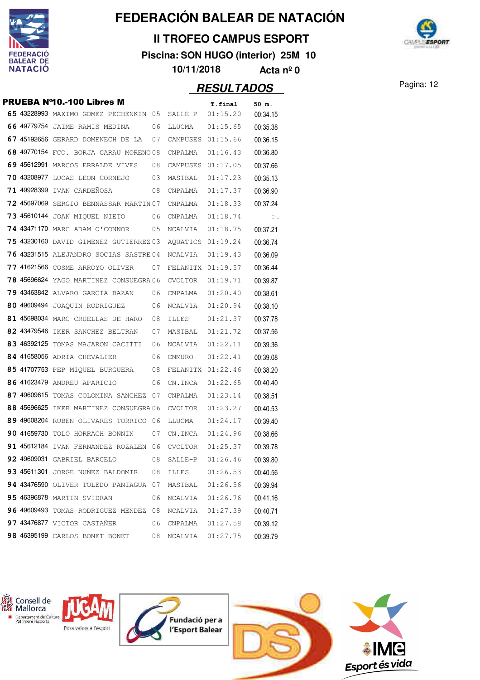

### **II TROFEO CAMPUS ESPORT**

**Piscina: SON HUGO (interior) 25M 10**



**10/11/2018 Acta nº 0**

|             | <b>PRUEBA Nº10.-100 Libres M</b>             |    |                   |                     |                   |
|-------------|----------------------------------------------|----|-------------------|---------------------|-------------------|
|             | 65 43228993 MAXIMO GOMEZ PECHENKIN 05        |    | SALLE-P           | T.final<br>01:15.20 | 50 m.<br>00:34.15 |
|             | 66 49779754 JAIME RAMIS MEDINA               | 06 | LLUCMA            | 01:15.65            | 00:35.38          |
|             | 67 45192656 GERARD DOMENECH DE LA            | 07 | CAMPUSES 01:15.66 |                     | 00:36.15          |
|             | 68 49770154 FCO. BORJA GARAU MORENO 08       |    | CNPALMA           | 01:16.43            | 00:36.80          |
|             | 69 45612991 MARCOS ERRALDE VIVES             | 08 | CAMPUSES 01:17.05 |                     | 00:37.66          |
|             | 70 43208977 LUCAS LEON CORNEJO               | 03 | MASTBAL           | 01:17.23            | 00:35.13          |
| 71 49928399 | IVAN CARDEÑOSA                               | 08 | CNPALMA           | 01:17.37            | 00:36.90          |
|             | 72 45697069 SERGIO BENNASSAR MARTIN 07       |    | CNPALMA           | 01:18.33            | 00:37.24          |
|             | 73 45610144 JOAN MIQUEL NIETO                | 06 | CNPALMA           | 01:18.74            | $\mathbb{N}$ .    |
|             | <b>74 43471170</b> MARC ADAM O'CONNOR        | 05 | NCALVIA           | 01:18.75            | 00:37.21          |
|             | 75 43230160 DAVID GIMENEZ GUTIERREZ 03       |    | AQUATICS 01:19.24 |                     | 00:36.74          |
|             | 76 43231515 ALEJANDRO SOCIAS SASTRE 04       |    | NCALVIA           | 01:19.43            | 00:36.09          |
|             | <b>77 41621566</b> cosme arroyo oliver       | 07 | FELANITX 01:19.57 |                     | 00:36.44          |
|             | 78 45696624 YAGO MARTINEZ CONSUEGRA06        |    | CVOLTOR           | 01:19.71            | 00:39.87          |
|             | 79 43463842 ALVARO GARCIA BAZAN              | 06 | CNPALMA           | 01:20.40            | 00:38.61          |
|             | 80 49609494 JOAQUIN RODRIGUEZ                | 06 | NCALVIA           | 01:20.94            | 00:38.10          |
|             | 81 45698034 MARC CRUELLAS DE HARO            | 08 | ILLES             | 01:21.37            | 00:37.78          |
|             | 82 43479546 IKER SANCHEZ BELTRAN             | 07 | MASTBAL           | 01:21.72            | 00:37.56          |
|             | 83 46392125 TOMAS MAJARON CACITTI            | 06 | NCALVIA           | 01:22.11            | 00:39.36          |
|             | 84 41658056 ADRIA CHEVALIER                  | 06 | CNMURO            | 01:22.41            | 00:39.08          |
|             | 85 41707753 PEP MIQUEL BURGUERA              | 08 | FELANITX 01:22.46 |                     | 00:38.20          |
|             | 86 41623479 ANDREU APARICIO                  | 06 | CN.INCA           | 01:22.65            | 00:40.40          |
|             | 87 49609615 TOMAS COLOMINA SANCHEZ           | 07 | CNPALMA           | 01:23.14            | 00:38.51          |
|             | 88 45696625 IKER MARTINEZ CONSUEGRA06        |    | CVOLTOR           | 01:23.27            | 00:40.53          |
|             | 89 49608204 RUBEN OLIVARES TORRICO 06        |    | LLUCMA            | 01:24.17            | 00:39.40          |
|             | 90 41659730 TOLO HORRACH BONNIN              | 07 | CN.INCA           | 01:24.96            | 00:38.66          |
|             | 91 45612184 IVAN FERNANDEZ ROZALEN 06        |    | CVOLTOR           | 01:25.37            | 00:39.78          |
|             | 92 49609031 GABRIEL BARCELO                  | 08 | SALLE-P           | 01:26.46            | 00:39.80          |
|             | 93 45611301 JORGE NUÑEZ BALDOMIR             | 08 | ILLES             | 01:26.53            | 00:40.56          |
|             | <b>94 43476590 OLIVER TOLEDO PANIAGUA 07</b> |    | MASTBAL           | 01:26.56            | 00:39.94          |
|             | <b>95 46396878 MARTIN SVIDRAN</b>            | 06 | NCALVIA           | 01:26.76            | 00:41.16          |
|             | 96 49609493 TOMAS RODRIGUEZ MENDEZ 08        |    | NCALVIA 01:27.39  |                     | 00:40.71          |
|             | 97 43476877 VICTOR CASTAÑER                  | 06 | CNPALMA  01:27.58 |                     | 00:39.12          |
|             | 98 46395199 CARLOS BONET BONET               | 08 | NCALVIA           | 01:27.75            | 00:39.79          |

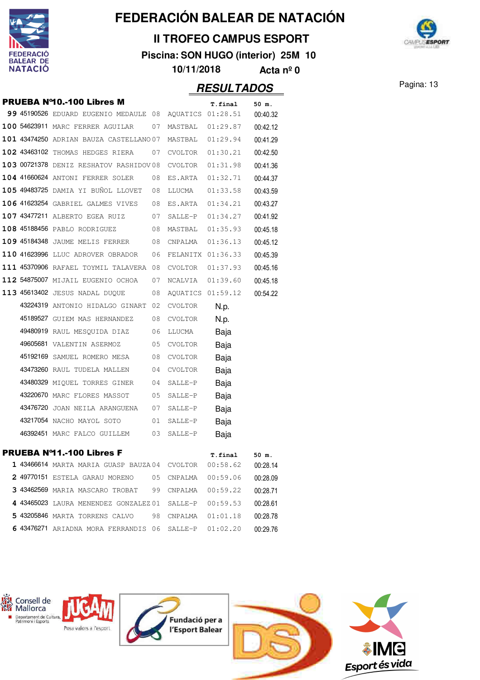

### **II TROFEO CAMPUS ESPORT**

**Piscina: SON HUGO (interior) 25M 10**



**10/11/2018 Acta nº 0**

|  | <b>PRUEBA Nº10.-100 Libres M</b>            |    |                   | T.final            | 50 m.    |
|--|---------------------------------------------|----|-------------------|--------------------|----------|
|  | 99 45190526 EDUARD EUGENIO MEDAULE 08       |    |                   | AQUATICS 01:28.51  | 00:40.32 |
|  | 100 54623911 MARC FERRER AGUILAR            | 07 | MASTBAL           | 01:29.87           | 00:42.12 |
|  | 101 43474250 ADRIAN BAUZA CASTELLANO 07     |    |                   | MASTBAL 01:29.94   | 00:41.29 |
|  | 102 43463102 THOMAS HEDGES RIERA            | 07 | CVOLTOR           | 01:30.21           | 00:42.50 |
|  | 103 00721378 DENIZ RESHATOV RASHIDOV 08     |    | CVOLTOR           | 01:31.98           | 00:41.36 |
|  | 104 41660624 ANTONI FERRER SOLER            | 08 | ES.ARTA           | 01:32.71           | 00:44.37 |
|  | 105 49483725 DAMIA YI BUÑOL LLOVET          | 08 | LLUCMA            | 01:33.58           | 00:43.59 |
|  | 106 41623254 GABRIEL GALMES VIVES           | 08 | ES.ARTA           | 01:34.21           | 00:43.27 |
|  | 107 43477211 ALBERTO EGEA RUIZ              | 07 | SALLE-P           | 01:34.27           | 00:41.92 |
|  | 108 45188456 PABLO RODRIGUEZ                | 08 | MASTBAL           | 01:35.93           | 00:45.18 |
|  | 109 45184348 JAUME MELIS FERRER             | 08 | CNPALMA           | 01:36.13           | 00:45.12 |
|  | 110 41623996 LLUC ADROVER OBRADOR           | 06 |                   | FELANITX 01:36.33  | 00:45.39 |
|  | 111 45370906 RAFAEL TOYMIL TALAVERA 08      |    | CVOLTOR           | 01:37.93           | 00:45.16 |
|  | 112 54875007 MIJAIL EUGENIO OCHOA           | 07 | NCALVIA  01:39.60 |                    | 00:45.18 |
|  | 113 45613402 JESUS NADAL DUQUE              | 08 |                   | AQUATICS 01:59.12  | 00:54.22 |
|  | 43224319 ANTONIO HIDALGO GINART             | 02 | CVOLTOR           | N.p.               |          |
|  | 45189527 GUIEM MAS HERNANDEZ                | 08 | <b>CVOLTOR</b>    | N.p.               |          |
|  | 49480919 RAUL MESQUIDA DIAZ                 | 06 | LLUCMA            | Baja               |          |
|  | 49605681 VALENTIN ASERMOZ                   | 05 | CVOLTOR           | Baja               |          |
|  | 45192169 SAMUEL ROMERO MESA                 | 08 | <b>CVOLTOR</b>    | Baja               |          |
|  | 43473260 RAUL TUDELA MALLEN                 | 04 | CVOLTOR           | Baja               |          |
|  | 43480329 MIQUEL TORRES GINER                | 04 | SALLE-P           | Baja               |          |
|  | 43220670 MARC FLORES MASSOT                 | 05 | SALLE-P           | Baja               |          |
|  | 43476720 JOAN NEILA ARANGUENA               | 07 | SALLE-P           | Baja               |          |
|  | 43217054 NACHO MAYOL SOTO                   | 01 | SALLE-P           | Baja               |          |
|  | 46392451 MARC FALCO GUILLEM                 | 03 | SALLE-P           | Baja               |          |
|  | PRUEBA Nº11.-100 Libres F                   |    |                   | T.final            | 50 m.    |
|  | <b>1 43466614</b> MARTA MARIA GUASP BAUZA04 |    | CVOLTOR           | 00:58.62           | 00:28.14 |
|  | 2 49770151 ESTELA GARAU MORENO              | 05 | CNPALMA           | 00:59.06           | 00:28.09 |
|  | 3 43462569 MARIA MASCARO TROBAT             | 99 | CNPALMA           | 00:59.22           | 00:28.71 |
|  | 4 43465023 LAURA MENENDEZ GONZALEZ 01       |    |                   | SALLE-P 00:59.53   | 00:28.61 |
|  | <b>5 43205846</b> MARTA TORRENS CALVO       | 98 |                   | CNPALMA   01:01.18 | 00:28.78 |
|  | 6 43476271 ARIADNA MORA FERRANDIS 06        |    | SALLE-P           | 01:02.20           | 00:29.76 |

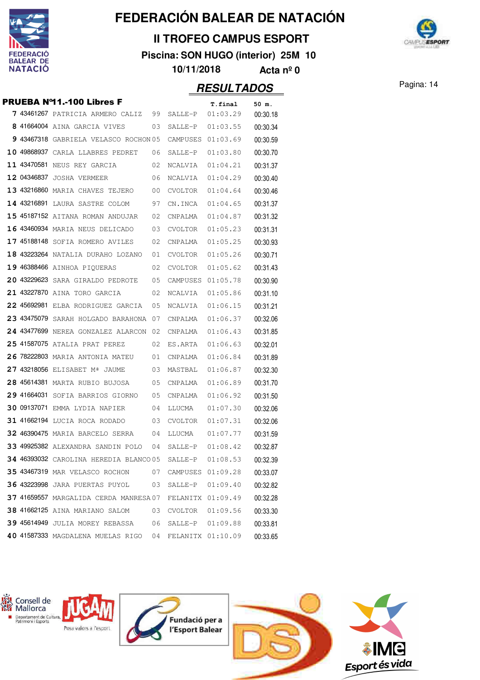

### **II TROFEO CAMPUS ESPORT**

**Piscina: SON HUGO (interior) 25M 10**



**10/11/2018 Acta nº 0**

|             | PRUEBA Nº11 .- 100 Libres F            |     |                   | T.final              | 50 m.    |
|-------------|----------------------------------------|-----|-------------------|----------------------|----------|
|             | 7 43461267 PATRICIA ARMERO CALIZ       | 99  | SALLE-P           | 01:03.29             | 00:30.18 |
|             | 8 41664004 AINA GARCIA VIVES           | 03  | SALLE-P           | 01:03.55             | 00:30.34 |
|             | 9 43467318 GABRIELA VELASCO ROCHON 05  |     | CAMPUSES          | 01:03.69             | 00:30.59 |
|             | 10 49868937 CARLA LLABRES PEDRET       | 06  | SALLE-P           | 01:03.80             | 00:30.70 |
|             | 11 43470581 NEUS REY GARCIA            | 02  | NCALVIA           | 01:04.21             | 00:31.37 |
|             | 12 04346837 JOSHA VERMEER              | 06  | NCALVIA           | 01:04.29             | 00:30.40 |
|             | 13 43216860 MARIA CHAVES TEJERO        | 00  | CVOLTOR           | 01:04.64             | 00:30.46 |
|             | 14 43216891 LAURA SASTRE COLOM         | 97  | CN.INCA           | 01:04.65             | 00:31.37 |
|             | 15 45187152 AITANA ROMAN ANDUJAR       | 02  | CNPALMA           | 01:04.87             | 00:31.32 |
|             | 16 43460934 MARIA NEUS DELICADO        | 03  | CVOLTOR           | 01:05.23             | 00:31.31 |
|             | 17 45188148 SOFIA ROMERO AVILES        | 02  | CNPALMA           | 01:05.25             | 00:30.93 |
|             | 18 43223264 NATALIA DURAHO LOZANO      | 01  | CVOLTOR           | 01:05.26             | 00:30.71 |
|             | 19 46388466 AINHOA PIQUERAS            | 02  | CVOLTOR           | 01:05.62             | 00:31.43 |
|             | 20 43229623 SARA GIRALDO PEDROTE       | 05  | CAMPUSES          | 01:05.78             | 00:30.90 |
|             | 21 43227870 AINA TORO GARCIA           | 02  | NCALVIA           | 01:05.86             | 00:31.10 |
|             | 22 45692981 ELBA RODRIGUEZ GARCIA      | 05  | NCALVIA           | 01:06.15             | 00:31.21 |
|             | 23 43475079 SARAH HOLGADO BARAHONA     | 07  | CNPALMA           | 01:06.37             | 00:32.06 |
|             | 24 43477699 NEREA GONZALEZ ALARCON     | -02 | CNPALMA           | 01:06.43             | 00:31.85 |
|             | 25 41587075 ATALIA PRAT PEREZ          | 02  | ES.ARTA           | 01:06.63             | 00:32.01 |
|             | 26 78222803 MARIA ANTONIA MATEU        | 01  | CNPALMA           | 01:06.84             | 00:31.89 |
|             | 27 43218056 ELISABET Mª JAUME          | 03  | MASTBAL           | 01:06.87             | 00:32.30 |
|             | 28 45614381 MARTA RUBIO BUJOSA         | 05  | CNPALMA           | 01:06.89             | 00:31.70 |
| 29 41664031 | SOFIA BARRIOS GIORNO                   | 05  | CNPALMA           | 01:06.92             | 00:31.50 |
|             | 30 09137071 EMMA LYDIA NAPIER          | 04  | LLUCMA            | 01:07.30             | 00:32.06 |
|             | 31 41662194 LUCIA ROCA RODADO          | 03  | CVOLTOR           | 01:07.31             | 00:32.06 |
|             | 32 46390475 MARIA BARCELO SERRA        | 04  | LLUCMA            | 01:07.77             | 00:31.59 |
|             | 33 49925382 ALEXANDRA SANDIN POLO      | 04  | SALLE-P           | 01:08.42             | 00:32.87 |
|             | 34 46393032 CAROLINA HEREDIA BLANCO 05 |     | SALLE-P           | 01:08.53             | 00:32.39 |
|             | <b>35 43467319 MAR VELASCO ROCHON</b>  | 07  | CAMPUSES 01:09.28 |                      | 00:33.07 |
|             | 36 43223998 JARA PUERTAS PUYOL         | 03  | SALLE-P           | 01:09.40             | 00:32.82 |
|             | 37 41659557 MARGALIDA CERDA MANRESA 07 |     |                   | FELANITX 01:09.49    | 00:32.28 |
|             | 38 41662125 AINA MARIANO SALOM         | 03  | CVOLTOR           | 01:09.56             | 00:33.30 |
|             | 39 45614949 JULIA MOREY REBASSA        | 06  |                   | $SALLE-P$ $01:09.88$ | 00:33.81 |
|             | 40 41587333 MAGDALENA MUELAS RIGO 04   |     | FELANITX 01:10.09 |                      | 00:33.65 |
|             |                                        |     |                   |                      |          |

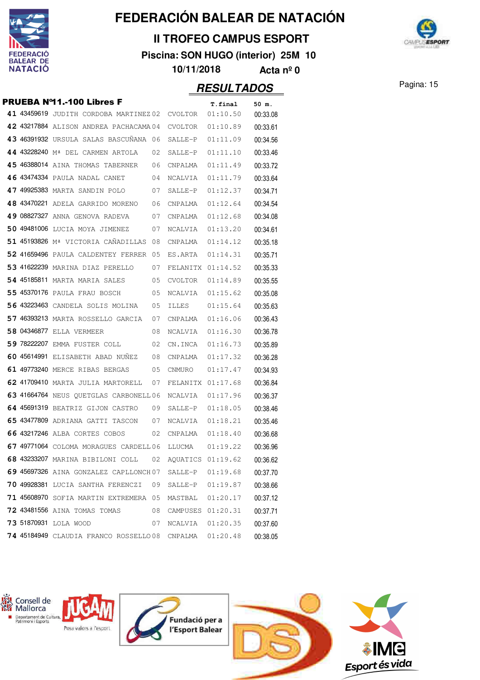

### **II TROFEO CAMPUS ESPORT**

**Piscina: SON HUGO (interior) 25M 10**



**10/11/2018 Acta nº 0**

### Pagina: 15 **RESULTADOS**

**PRUEBA Nº11.-100 Libres F** T. final 50 m. **41 43459619** JUDITH CORDOBA MARTINEZ 02 CVOLTOR 01:10.50 00:33.08 **42 43217884** ALISON ANDREA PACHACAMA 04 CVOLTOR 01:10.89 00:33.61 43 46391932 URSULA SALAS BASCUÑANA 06 SALLE-P 01:11.09 00:34.56 44 43228240 M<sup>ª</sup> DEL CARMEN ARTOLA 02 SALLE-P 01:11.10 00:33.46 **45** 46388014 AINA THOMAS TABERNER 06 CNPALMA 01:11.49 00:33.72  **46** <sup>43474334</sup> PAULA NADAL CANET 01:11.79 04 NCALVIA 00:33.64  **47** <sup>49925383</sup> MARTA SANDIN POLO 01:12.37 07 SALLE-P 00:34.71 **48** 43470221 ADELA GARRIDO MORENO 06 CNPALMA 01:12.64 00:34.54 **49 08827327 ANNA GENOVA RADEVA** 07 CNPALMA 01:12.68 00:34.08 **50** 49481006 LUCIA MOYA JIMENEZ 07 NCALVIA 01:13.20 00:34.61 51 45193826 M<sup>ª</sup> VICTORIA CAÑADILLAS 08 CNPALMA 01:14.12 00:35.18 **52 41659496** PAULA CALDENTEY FERRER 05 ES.ARTA 01:14.31 00:35.71 **53** 41622239 MARINA DIAZ PERELLO 07 FELANITX 01:14.52 00:35.33 54 45185811 MARTA MARIA SALES 05 CVOLTOR 01:14.89 00:35.55 **55** 45370176 PAULA FRAU BOSCH 05 NCALVIA 01:15.62 00:35.08 **56** 43223463 CANDELA SOLIS MOLINA 05 ILLES 01:15.64 00:35.63 **57 46393213 MARTA ROSSELLO GARCIA 07 CNPALMA 01:16.06 00:36.43 58 04346877** ELLA VERMEER 08 NCALVIA 01:16.30 00:36.78 **59** 78222207 EMMA FUSTER COLL 02 CN.INCA 01:16.73 00:35.89 **60 45614991 ELISABETH ABAD NUÑEZ 08 CNPALMA 01:17.32 00:36.28 61 49773240** MERCE RIBAS BERGAS 05 CNMURO 01:17.47 00:34.93  **62** <sup>41709410</sup> MARTA JULIA MARTORELL 01:17.68 07 FELANITX 00:36.84 **63 41664764 NEUS OUETGLAS CARBONELL 06 NCALVIA 01:17.96 00:36.37 64** 45691319 BEATRIZ GIJON CASTRO 09 SALLE-P 01:18.05 00:38.46  **65** <sup>43477809</sup> ADRIANA GATTI TASCON 01:18.21 07 NCALVIA 00:35.46 **66** 43217246 ALBA CORTES COBOS 02 CNPALMA 01:18.40 00:36.68 **67** 49771064 COLOMA MORAGUES CARDELL 06 LLUCMA 01:19.22 00:36.96 **68 43233207 MARINA BIBILONI COLL 02 AQUATICS 01:19.62 00:36.62 69 45697326 AINA GONZALEZ CAPLLONCH07 SALLE-P 01:19.68 00:37.70 70** 49928381 LUCIA SANTHA FERENCZI 09 SALLE-P 01:19.87 00:38.66 **71 45608970** SOFIA MARTIN EXTREMERA 05 MASTBAL 01:20.17 00:37.12 **72 43481556 AINA TOMAS TOMAS 08 CAMPUSES 01:20.31 00:37.71 73** <sup>51870931</sup> LOLA WOOD 07 NCALVIA 01:20.35 00:37.60 **74 45184949** CLAUDIA FRANCO ROSSELLO 08 CNPALMA 01:20.48 00:38.05

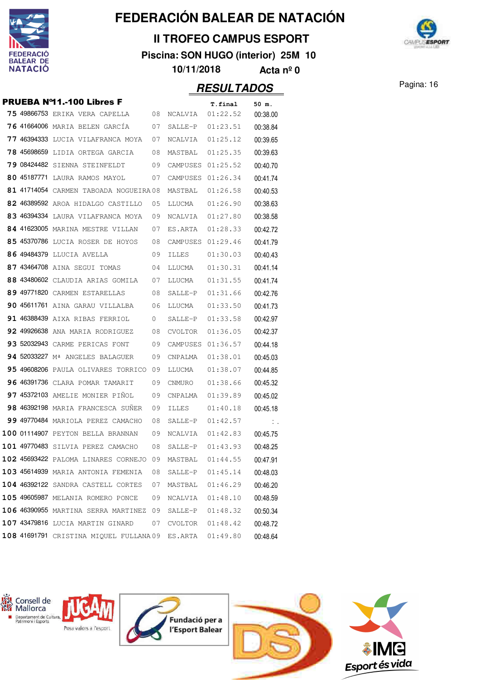

### **II TROFEO CAMPUS ESPORT**

**Piscina: SON HUGO (interior) 25M 10**



**10/11/2018 Acta nº 0**

| <b>PRUEBA Nº11.-100 Libres F</b><br>T.final<br>50 m. |             |                                                             |    |                      |          |                               |  |  |
|------------------------------------------------------|-------------|-------------------------------------------------------------|----|----------------------|----------|-------------------------------|--|--|
|                                                      |             | <b>75 49866753 ERIKA VERA CAPELLA</b>                       | 08 | NCALVIA              | 01:22.52 | 00:38.00                      |  |  |
|                                                      |             | 76 41664006 MARIA BELEN GARCIA                              | 07 | SALLE-P              | 01:23.51 | 00:38.84                      |  |  |
|                                                      |             | 77 46394333 LUCIA VILAFRANCA MOYA                           | 07 | NCALVIA              | 01:25.12 | 00:39.65                      |  |  |
|                                                      | 78 45698659 | LIDIA ORTEGA GARCIA                                         | 08 | MASTBAL              | 01:25.35 | 00:39.63                      |  |  |
|                                                      |             | <b>79 08424482</b> SIENNA STEINFELDT                        | 09 | CAMPUSES             | 01:25.52 | 00:40.70                      |  |  |
|                                                      |             | 80 45187771 LAURA RAMOS MAYOL                               | 07 | CAMPUSES             | 01:26.34 | 00:41.74                      |  |  |
|                                                      |             | 81 41714054 CARMEN TABOADA NOGUEIRA 08                      |    | MASTBAL              | 01:26.58 | 00:40.53                      |  |  |
|                                                      |             | 82 46389592 AROA HIDALGO CASTILLO                           | 05 | LLUCMA               | 01:26.90 | 00:38.63                      |  |  |
|                                                      |             | 83 46394334 LAURA VILAFRANCA MOYA                           | 09 | NCALVIA              | 01:27.80 | 00:38.58                      |  |  |
|                                                      |             | 84 41623005 MARINA MESTRE VILLAN                            | 07 | ES.ARTA              | 01:28.33 | 00:42.72                      |  |  |
|                                                      |             | 85 45370786 LUCIA ROSER DE HOYOS                            | 08 | CAMPUSES             | 01:29.46 | 00:41.79                      |  |  |
|                                                      |             | 86 49484379 LLUCIA AVELLA                                   | 09 | ILLES                | 01:30.03 | 00:40.43                      |  |  |
|                                                      |             | 87 43464708 AINA SEGUI TOMAS                                | 04 | LLUCMA               | 01:30.31 | 00:41.14                      |  |  |
|                                                      |             | 88 43480602 CLAUDIA ARIAS GOMILA                            | 07 | LLUCMA               | 01:31.55 | 00:41.74                      |  |  |
|                                                      |             | 89 49771820 CARMEN ESTARELLAS                               | 08 | SALLE-P              | 01:31.66 | 00:42.76                      |  |  |
|                                                      |             | 90 45611761 AINA GARAU VILLALBA                             | 06 | LLUCMA               | 01:33.50 | 00:41.73                      |  |  |
|                                                      |             | 91 46388439 AIXA RIBAS FERRIOL                              | 0  | SALLE-P              | 01:33.58 | 00:42.97                      |  |  |
|                                                      |             | 92 49926638 ANA MARIA RODRIGUEZ                             | 08 | <b>CVOLTOR</b>       | 01:36.05 | 00:42.37                      |  |  |
|                                                      |             | 93 52032943 CARME PERICAS FONT                              | 09 | CAMPUSES             | 01:36.57 | 00:44.18                      |  |  |
|                                                      |             | 94 52033227 M <sup>ª</sup> ANGELES BALAGUER                 | 09 | CNPALMA              | 01:38.01 | 00:45.03                      |  |  |
|                                                      |             | 95 49608206 PAULA OLIVARES TORRICO                          | 09 | LLUCMA               | 01:38.07 | 00:44.85                      |  |  |
|                                                      |             | 96 46391736 CLARA POMAR TAMARIT                             | 09 | CNMURO               | 01:38.66 | 00:45.32                      |  |  |
|                                                      |             | 97 45372103 AMELIE MONIER PIÑOL                             | 09 | CNPALMA              | 01:39.89 | 00:45.02                      |  |  |
|                                                      |             | 98 46392198 MARIA FRANCESCA SUNER                           | 09 | ILLES                | 01:40.18 | 00:45.18                      |  |  |
|                                                      |             | 99 49770484 MARIOLA PEREZ CAMACHO                           | 08 | SALLE-P              | 01:42.57 | $\mathcal{L}_{\mathcal{A}}$ . |  |  |
|                                                      |             | 100 01114907 PEYTON BELLA BRANNAN                           | 09 | NCALVIA              | 01:42.83 | 00:45.75                      |  |  |
|                                                      |             | 101 49770483 SILVIA PEREZ CAMACHO                           | 08 | SALLE-P              | 01:43.93 | 00:48.25                      |  |  |
|                                                      |             | 102 45693422 PALOMA LINARES CORNEJO 09                      |    | MASTBAL              | 01:44.55 | 00:47.91                      |  |  |
|                                                      |             | <b>103 45614939</b> MARIA ANTONIA FEMENIA                   | 08 | SALLE-P              | 01:45.14 | 00:48.03                      |  |  |
|                                                      |             | 104 46392122 SANDRA CASTELL CORTES                          | 07 | MASTBAL 01:46.29     |          | 00:46.20                      |  |  |
|                                                      |             | 105 49605987 MELANIA ROMERO PONCE                           | 09 | NCALVIA  01:48.10    |          | 00:48.59                      |  |  |
|                                                      |             | 106 46390955 MARTINA SERRA MARTINEZ 09                      |    | SALLE-P 01:48.32     |          | 00:50.34                      |  |  |
|                                                      |             | 107 43479816 LUCIA MARTIN GINARD                            | 07 | $CVOLTOR$ $01:48.42$ |          | 00:48.72                      |  |  |
|                                                      |             | $108$ 41691791 CRISTINA MIQUEL FULLANA09 ES.ARTA $01:49.80$ |    |                      |          | 00:48.64                      |  |  |
|                                                      |             |                                                             |    |                      |          |                               |  |  |

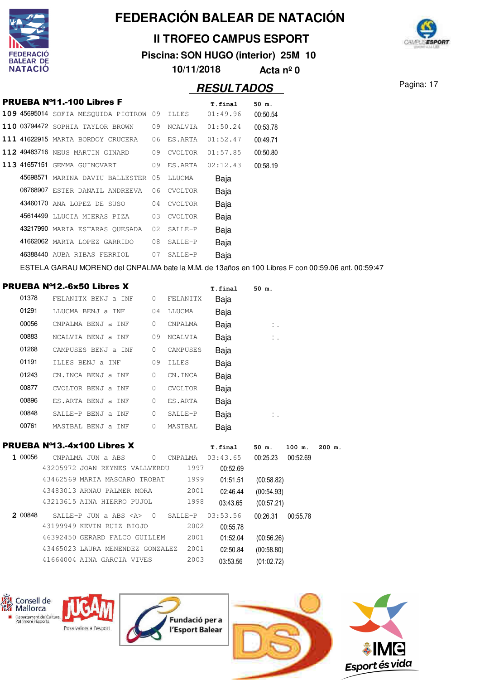

...<br>X Consell de<br>X Mallorca

## **FEDERACIÓN BALEAR DE NATACIÓN**

### **II TROFEO CAMPUS ESPORT**

**Piscina: SON HUGO (interior) 25M 10**



**10/11/2018 Acta nº 0**

Pagina: 17

|         |                                                                                                   |              |                | <b>RESULTADOS</b>      |                              |          |        |
|---------|---------------------------------------------------------------------------------------------------|--------------|----------------|------------------------|------------------------------|----------|--------|
|         | <b>PRUEBA Nº11.-100 Libres F</b>                                                                  |              |                | T.final                | 50 m.                        |          |        |
|         | 109 45695014 SOFIA MESQUIDA PIOTROW 09                                                            |              | ILLES          | 01:49.96               | 00:50.54                     |          |        |
|         | 110 03794472 SOPHIA TAYLOR BROWN                                                                  |              | 09 NCALVIA     | 01:50.24               | 00:53.78                     |          |        |
|         | <b>111 41622915</b> MARTA BORDOY CRUCERA                                                          |              | 06 ES.ARTA     | 01:52.47               | 00:49.71                     |          |        |
|         | 112 49483716 NEUS MARTIN GINARD                                                                   | 09           | <b>CVOLTOR</b> | 01:57.85               | 00:50.80                     |          |        |
|         | 113 41657151 GEMMA GUINOVART                                                                      | 09           | ES.ARTA        | 02:12.43               | 00:58.19                     |          |        |
|         | 45698571 MARINA DAVIU BALLESTER 05                                                                |              | LLUCMA         | Baja                   |                              |          |        |
|         | 08768907 ESTER DANAIL ANDREEVA                                                                    | 06           | CVOLTOR        | Baja                   |                              |          |        |
|         | 43460170 ANA LOPEZ DE SUSO                                                                        | 04           | CVOLTOR        | Baja                   |                              |          |        |
|         | 45614499 LLUCIA MIERAS PIZA                                                                       |              | 03 CVOLTOR     | Baja                   |                              |          |        |
|         | 43217990 MARIA ESTARAS QUESADA                                                                    | 02           | SALLE-P        | Baja                   |                              |          |        |
|         | 41662062 MARTA LOPEZ GARRIDO                                                                      | 08           | SALLE-P        | Baja                   |                              |          |        |
|         | 46388440 AUBA RIBAS FERRIOL                                                                       |              | 07 SALLE-P     | Baja                   |                              |          |        |
|         | ESTELA GARAU MORENO del CNPALMA bate la M.M. de 13años en 100 Libres F con 00:59.06 ant. 00:59:47 |              |                |                        |                              |          |        |
|         | <b>PRUEBA Nº12.-6x50 Libres X</b>                                                                 |              |                |                        |                              |          |        |
| 01378   | FELANITX BENJ a INF                                                                               | $\mathbf{0}$ | FELANITX       | <b>T.final</b><br>Baja | 50 m.                        |          |        |
| 01291   | LLUCMA BENJ a INF                                                                                 |              | 04 LLUCMA      | Baja                   |                              |          |        |
| 00056   | CNPALMA BENJ a INF                                                                                | 0            | CNPALMA        | Baja                   | $\mathcal{L}_{\mathrm{c}}$ . |          |        |
| 00883   | NCALVIA BENJ a INF                                                                                | 09           | NCALVIA        | Baja                   | Ι.                           |          |        |
| 01268   | CAMPUSES BENJ a INF                                                                               | 0            | CAMPUSES       | Baja                   |                              |          |        |
| 01191   | ILLES BENJ a INF                                                                                  | 09           | <b>ILLES</b>   |                        |                              |          |        |
| 01243   | CN.INCA BENJ a INF                                                                                | 0            | CN.INCA        | Baja                   |                              |          |        |
| 00877   | CVOLTOR BENJ a INF                                                                                | 0            | CVOLTOR        | Baja<br>Baja           |                              |          |        |
| 00896   | ES.ARTA BENJ a INF                                                                                | 0            | ES.ARTA        |                        |                              |          |        |
| 00848   | SALLE-P BENJ a INF                                                                                | 0            | SALLE-P        | Baja                   |                              |          |        |
| 00761   | MASTBAL BENJ a INF                                                                                | $\mathbf{0}$ | MASTBAL        | Baja                   | Ι.                           |          |        |
|         |                                                                                                   |              |                | Baja                   |                              |          |        |
|         | PRUEBA Nº13.-4x100 Libres X                                                                       |              |                | <b>T.final</b>         | 50 m.                        | 100 m.   | 200 m. |
| 1 00056 |                                                                                                   |              |                |                        | 00:25.23                     | 00:52.69 |        |
|         | 43205972 JOAN REYNES VALLVERDU                                                                    |              | 1997           | 00:52.69               |                              |          |        |
|         | 43462569 MARIA MASCARO TROBAT 1999                                                                |              |                | 01:51.51               | (00:58.82)                   |          |        |
|         | 43483013 ARNAU PALMER MORA                                                                        |              | 2001           | 02:46.44               | (00:54.93)                   |          |        |
|         | 43213615 AINA HIERRO PUJOL                                                                        |              | 1998           | 03:43.65               | (00:57.21)                   |          |        |
| 2 00848 | SALLE-P JUN a ABS <a> 0 SALLE-P 03:53.56</a>                                                      |              |                |                        | 00:26.31 00:55.78            |          |        |
|         | 43199949 KEVIN RUIZ BIOJO                                                                         |              | 2002           | 00:55.78               |                              |          |        |
|         | 46392450 GERARD FALCO GUILLEM                                                                     |              | 2001           | 01:52.04               | (00:56.26)                   |          |        |
|         | 43465023 LAURA MENENDEZ GONZALEZ 2001                                                             |              |                | 02:50.84               | (00:58.80)                   |          |        |
|         | 41664004 AINA GARCIA VIVES                                                                        |              | 2003           | 03:53.56               | (01:02.72)                   |          |        |